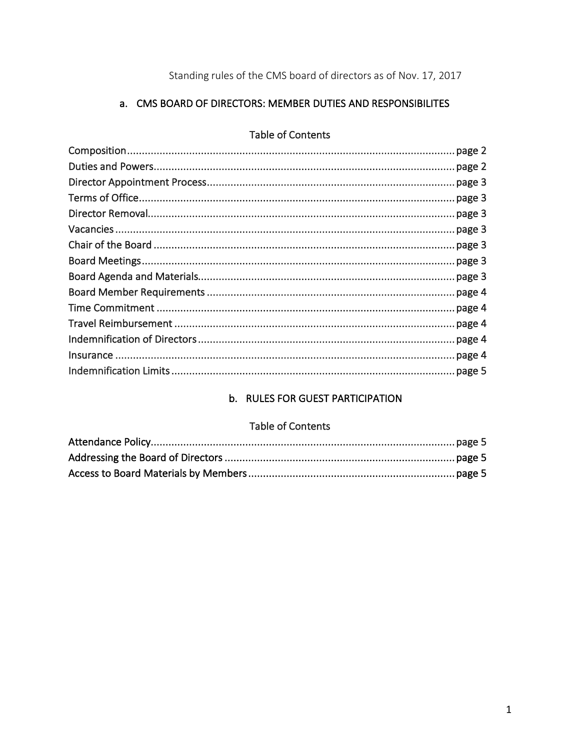Standing rules of the CMS board of directors as of Nov. 17, 2017

# a. CMS BOARD OF DIRECTORS: MEMBER DUTIES AND RESPONSIBILITES

#### **Table of Contents**

# b. RULES FOR GUEST PARTICIPATION

# Table of Contents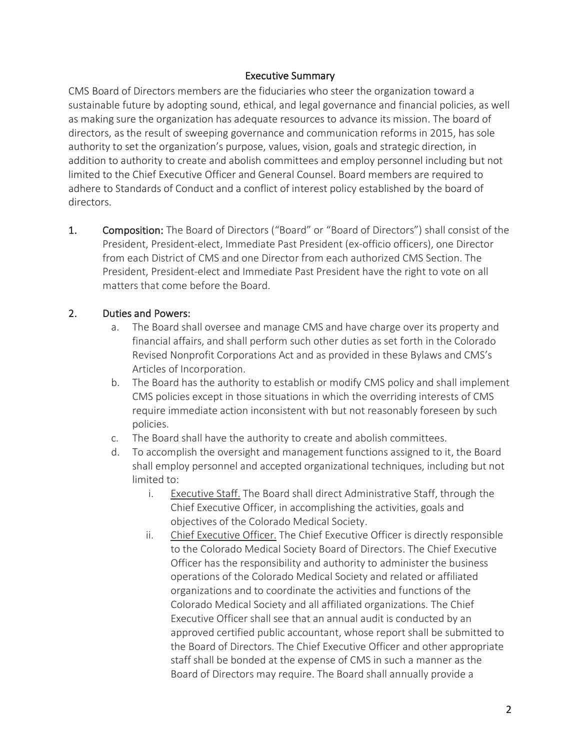## Executive Summary

CMS Board of Directors members are the fiduciaries who steer the organization toward a sustainable future by adopting sound, ethical, and legal governance and financial policies, as well as making sure the organization has adequate resources to advance its mission. The board of directors, as the result of sweeping governance and communication reforms in 2015, has sole authority to set the organization's purpose, values, vision, goals and strategic direction, in addition to authority to create and abolish committees and employ personnel including but not limited to the Chief Executive Officer and General Counsel. Board members are required to adhere to Standards of Conduct and a conflict of interest policy established by the board of directors.

1. Composition: The Board of Directors ("Board" or "Board of Directors") shall consist of the President, President-elect, Immediate Past President (ex-officio officers), one Director from each District of CMS and one Director from each authorized CMS Section. The President, President-elect and Immediate Past President have the right to vote on all matters that come before the Board.

## 2. Duties and Powers:

- a. The Board shall oversee and manage CMS and have charge over its property and financial affairs, and shall perform such other duties as set forth in the Colorado Revised Nonprofit Corporations Act and as provided in these Bylaws and CMS's Articles of Incorporation.
- b. The Board has the authority to establish or modify CMS policy and shall implement CMS policies except in those situations in which the overriding interests of CMS require immediate action inconsistent with but not reasonably foreseen by such policies.
- c. The Board shall have the authority to create and abolish committees.
- d. To accomplish the oversight and management functions assigned to it, the Board shall employ personnel and accepted organizational techniques, including but not limited to:
	- i. Executive Staff. The Board shall direct Administrative Staff, through the Chief Executive Officer, in accomplishing the activities, goals and objectives of the Colorado Medical Society.
	- ii. Chief Executive Officer. The Chief Executive Officer is directly responsible to the Colorado Medical Society Board of Directors. The Chief Executive Officer has the responsibility and authority to administer the business operations of the Colorado Medical Society and related or affiliated organizations and to coordinate the activities and functions of the Colorado Medical Society and all affiliated organizations. The Chief Executive Officer shall see that an annual audit is conducted by an approved certified public accountant, whose report shall be submitted to the Board of Directors. The Chief Executive Officer and other appropriate staff shall be bonded at the expense of CMS in such a manner as the Board of Directors may require. The Board shall annually provide a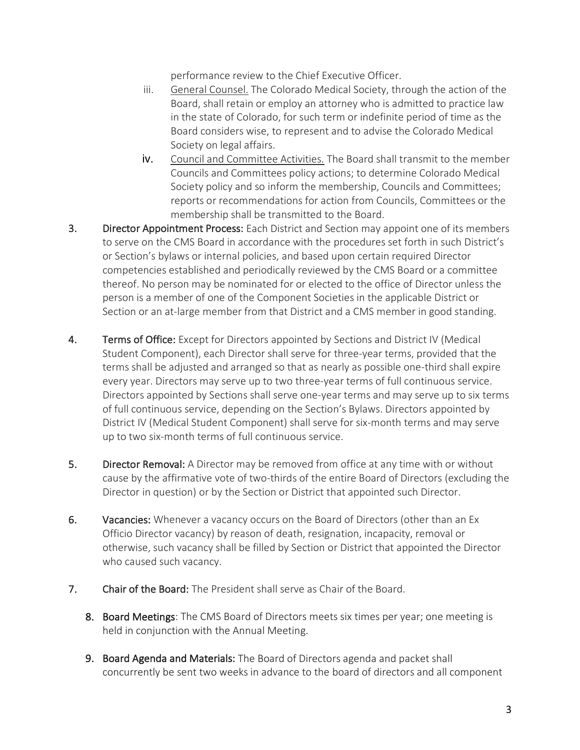performance review to the Chief Executive Officer.

- iii. General Counsel. The Colorado Medical Society, through the action of the Board, shall retain or employ an attorney who is admitted to practice law in the state of Colorado, for such term or indefinite period of time as the Board considers wise, to represent and to advise the Colorado Medical Society on legal affairs.
- iv. Council and Committee Activities. The Board shall transmit to the member Councils and Committees policy actions; to determine Colorado Medical Society policy and so inform the membership, Councils and Committees; reports or recommendations for action from Councils, Committees or the membership shall be transmitted to the Board.
- 3. Director Appointment Process: Each District and Section may appoint one of its members to serve on the CMS Board in accordance with the procedures set forth in such District's or Section's bylaws or internal policies, and based upon certain required Director competencies established and periodically reviewed by the CMS Board or a committee thereof. No person may be nominated for or elected to the office of Director unless the person is a member of one of the Component Societies in the applicable District or Section or an at-large member from that District and a CMS member in good standing.
- 4. Terms of Office: Except for Directors appointed by Sections and District IV (Medical Student Component), each Director shall serve for three-year terms, provided that the terms shall be adjusted and arranged so that as nearly as possible one-third shall expire every year. Directors may serve up to two three-year terms of full continuous service. Directors appointed by Sections shall serve one-year terms and may serve up to six terms of full continuous service, depending on the Section's Bylaws. Directors appointed by District IV (Medical Student Component) shall serve for six-month terms and may serve up to two six-month terms of full continuous service.
- 5. Director Removal: A Director may be removed from office at any time with or without cause by the affirmative vote of two-thirds of the entire Board of Directors (excluding the Director in question) or by the Section or District that appointed such Director.
- 6. Vacancies: Whenever a vacancy occurs on the Board of Directors (other than an Ex Officio Director vacancy) by reason of death, resignation, incapacity, removal or otherwise, such vacancy shall be filled by Section or District that appointed the Director who caused such vacancy.
- 7. Chair of the Board: The President shall serve as Chair of the Board.
	- 8. Board Meetings: The CMS Board of Directors meets six times per year; one meeting is held in conjunction with the Annual Meeting.
	- 9. Board Agenda and Materials: The Board of Directors agenda and packet shall concurrently be sent two weeks in advance to the board of directors and all component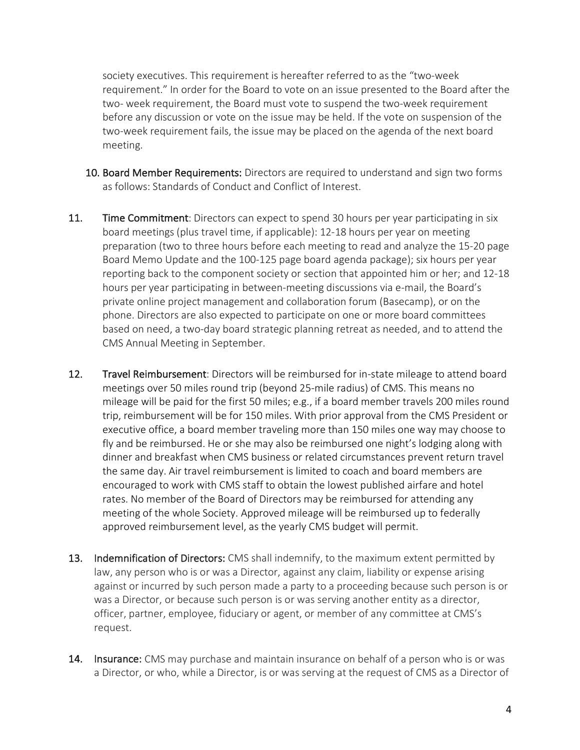society executives. This requirement is hereafter referred to as the "two-week requirement." In order for the Board to vote on an issue presented to the Board after the two- week requirement, the Board must vote to suspend the two-week requirement before any discussion or vote on the issue may be held. If the vote on suspension of the two-week requirement fails, the issue may be placed on the agenda of the next board meeting.

- 10. Board Member Requirements: Directors are required to understand and sign two forms as follows: Standards of Conduct and Conflict of Interest.
- 11. Time Commitment: Directors can expect to spend 30 hours per year participating in six board meetings (plus travel time, if applicable): 12-18 hours per year on meeting preparation (two to three hours before each meeting to read and analyze the 15-20 page Board Memo Update and the 100-125 page board agenda package); six hours per year reporting back to the component society or section that appointed him or her; and 12-18 hours per year participating in between-meeting discussions via e-mail, the Board's private online project management and collaboration forum (Basecamp), or on the phone. Directors are also expected to participate on one or more board committees based on need, a two-day board strategic planning retreat as needed, and to attend the CMS Annual Meeting in September.
- 12. Travel Reimbursement: Directors will be reimbursed for in-state mileage to attend board meetings over 50 miles round trip (beyond 25-mile radius) of CMS. This means no mileage will be paid for the first 50 miles; e.g., if a board member travels 200 miles round trip, reimbursement will be for 150 miles. With prior approval from the CMS President or executive office, a board member traveling more than 150 miles one way may choose to fly and be reimbursed. He or she may also be reimbursed one night's lodging along with dinner and breakfast when CMS business or related circumstances prevent return travel the same day. Air travel reimbursement is limited to coach and board members are encouraged to work with CMS staff to obtain the lowest published airfare and hotel rates. No member of the Board of Directors may be reimbursed for attending any meeting of the whole Society. Approved mileage will be reimbursed up to federally approved reimbursement level, as the yearly CMS budget will permit.
- 13. Indemnification of Directors: CMS shall indemnify, to the maximum extent permitted by law, any person who is or was a Director, against any claim, liability or expense arising against or incurred by such person made a party to a proceeding because such person is or was a Director, or because such person is or was serving another entity as a director, officer, partner, employee, fiduciary or agent, or member of any committee at CMS's request.
- 14. Insurance: CMS may purchase and maintain insurance on behalf of a person who is or was a Director, or who, while a Director, is or was serving at the request of CMS as a Director of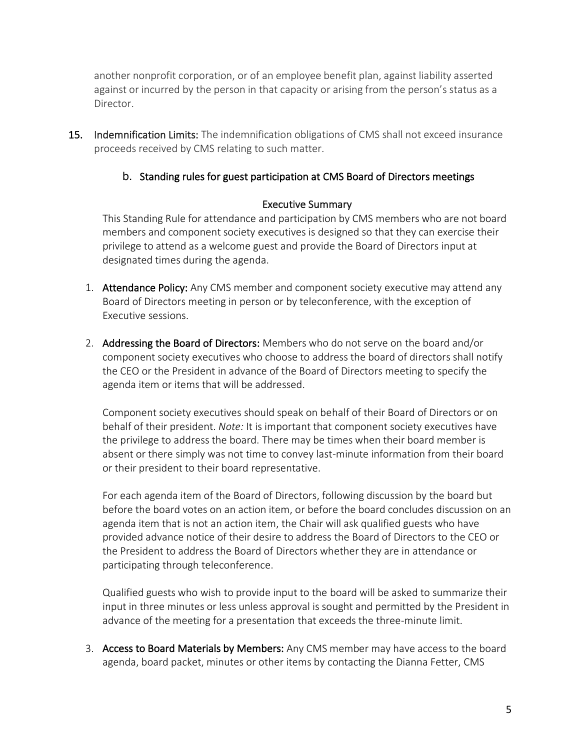another nonprofit corporation, or of an employee benefit plan, against liability asserted against or incurred by the person in that capacity or arising from the person's status as a Director.

15. Indemnification Limits: The indemnification obligations of CMS shall not exceed insurance proceeds received by CMS relating to such matter.

## b. Standing rules for guest participation at CMS Board of Directors meetings

#### Executive Summary

This Standing Rule for attendance and participation by CMS members who are not board members and component society executives is designed so that they can exercise their privilege to attend as a welcome guest and provide the Board of Directors input at designated times during the agenda.

- 1. Attendance Policy: Any CMS member and component society executive may attend any Board of Directors meeting in person or by teleconference, with the exception of Executive sessions.
- 2. Addressing the Board of Directors: Members who do not serve on the board and/or component society executives who choose to address the board of directors shall notify the CEO or the President in advance of the Board of Directors meeting to specify the agenda item or items that will be addressed.

Component society executives should speak on behalf of their Board of Directors or on behalf of their president. *Note:* It is important that component society executives have the privilege to address the board. There may be times when their board member is absent or there simply was not time to convey last-minute information from their board or their president to their board representative.

For each agenda item of the Board of Directors, following discussion by the board but before the board votes on an action item, or before the board concludes discussion on an agenda item that is not an action item, the Chair will ask qualified guests who have provided advance notice of their desire to address the Board of Directors to the CEO or the President to address the Board of Directors whether they are in attendance or participating through teleconference.

Qualified guests who wish to provide input to the board will be asked to summarize their input in three minutes or less unless approval is sought and permitted by the President in advance of the meeting for a presentation that exceeds the three-minute limit.

3. Access to Board Materials by Members: Any CMS member may have access to the board agenda, board packet, minutes or other items by contacting the Dianna Fetter, CMS